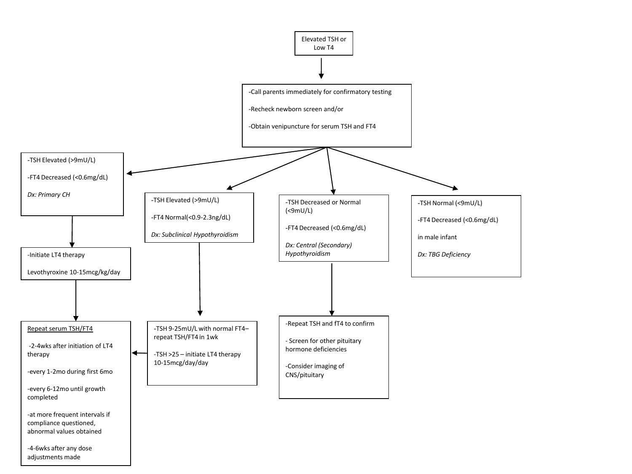